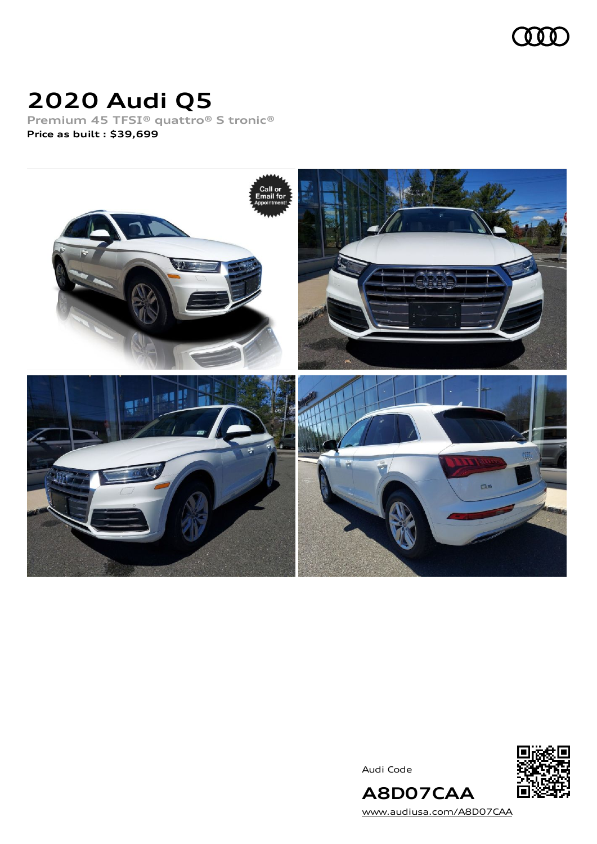

# **2020 Audi Q5**

**Premium 45 TFSI® quattro® S tronic® Price as built [:](#page-8-0) \$39,699**



Audi Code



[www.audiusa.com/A8D07CAA](https://www.audiusa.com/A8D07CAA)

**A8D07CAA**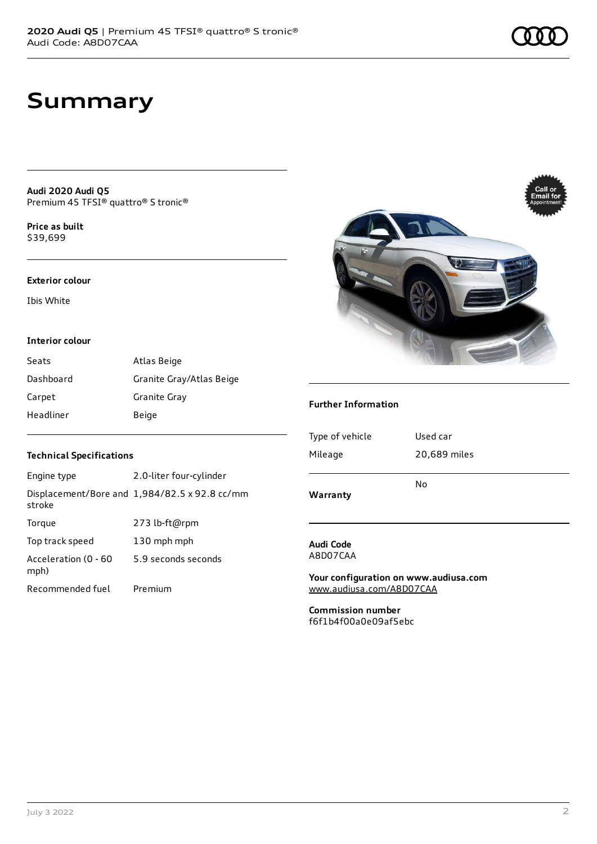# **Summary**

**Audi 2020 Audi Q5** Premium 45 TFSI® quattro® S tronic®

**Price as buil[t](#page-8-0)** \$39,699

### **Exterior colour**

Ibis White

## **Interior colour**

| Seats     | Atlas Beige              |
|-----------|--------------------------|
| Dashboard | Granite Gray/Atlas Beige |
| Carpet    | Granite Gray             |
| Headliner | Beige                    |

## **Technical Specifications**

| Engine type                  | 2.0-liter four-cylinder                       |
|------------------------------|-----------------------------------------------|
| stroke                       | Displacement/Bore and 1,984/82.5 x 92.8 cc/mm |
| Torque                       | 273 lb-ft@rpm                                 |
| Top track speed              | 130 mph mph                                   |
| Acceleration (0 - 60<br>mph) | 5.9 seconds seconds                           |
| Recommended fuel             | Premium                                       |



## **Further Information**

| Warranty        | No           |
|-----------------|--------------|
| Mileage         | 20,689 miles |
| Type of vehicle | Used car     |
|                 |              |

## **Audi Code** A8D07CAA

**Your configuration on www.audiusa.com** [www.audiusa.com/A8D07CAA](https://www.audiusa.com/A8D07CAA)

**Commission number** f6f1b4f00a0e09af5ebc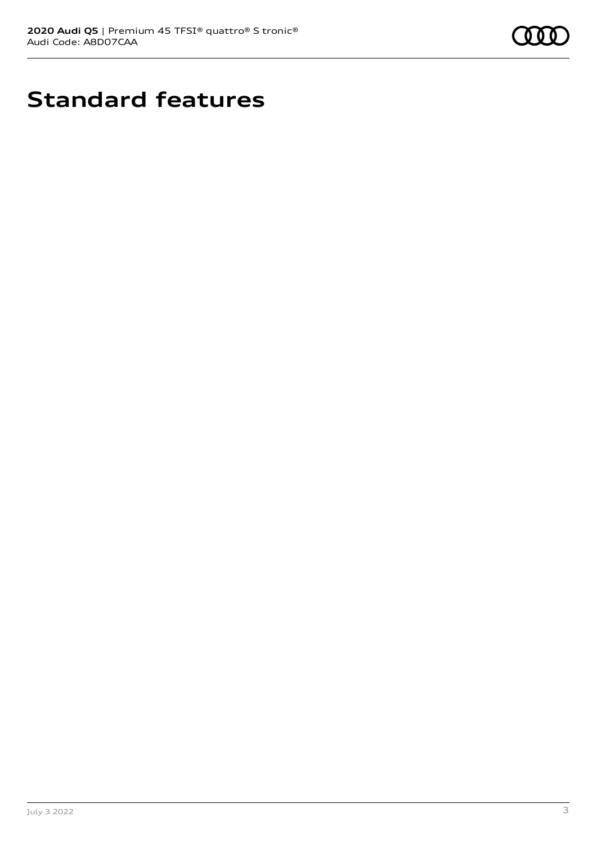

# **Standard features**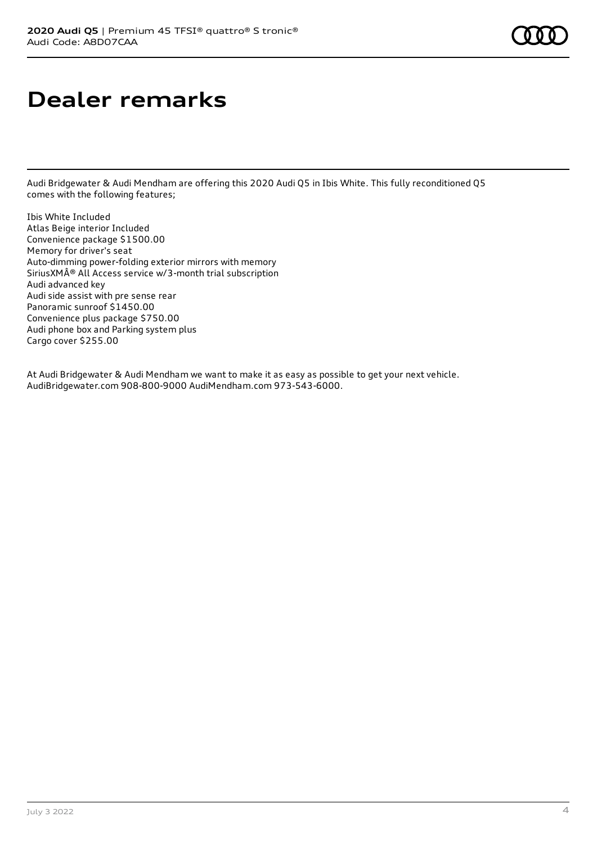# **Dealer remarks**

Audi Bridgewater & Audi Mendham are offering this 2020 Audi Q5 in Ibis White. This fully reconditioned Q5 comes with the following features;

Ibis White Included Atlas Beige interior Included Convenience package \$1500.00 Memory for driver's seat Auto-dimming power-folding exterior mirrors with memory SiriusXM® All Access service w/3-month trial subscription Audi advanced key Audi side assist with pre sense rear Panoramic sunroof \$1450.00 Convenience plus package \$750.00 Audi phone box and Parking system plus Cargo cover \$255.00

At Audi Bridgewater & Audi Mendham we want to make it as easy as possible to get your next vehicle. AudiBridgewater.com 908-800-9000 AudiMendham.com 973-543-6000.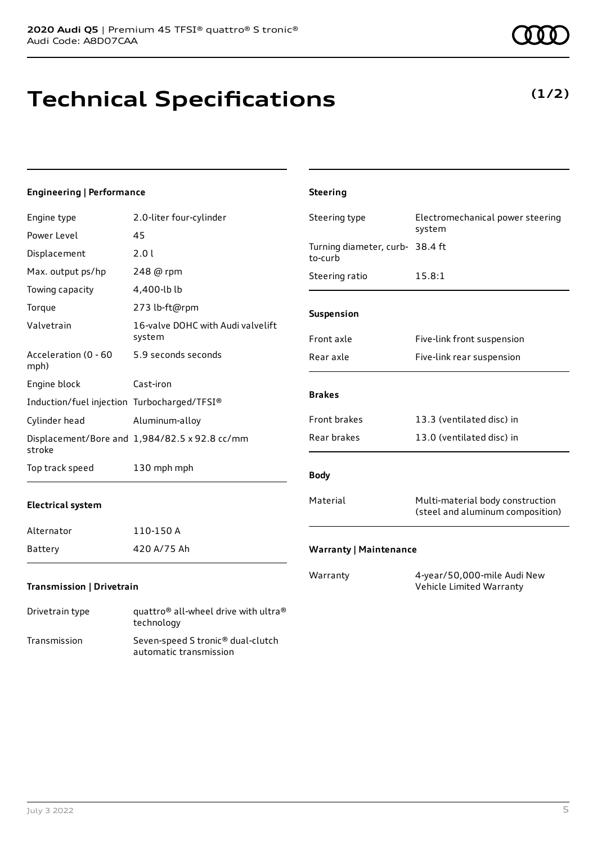Transmission Seven-speed S tronic® dual-clutch

automatic transmission

# **Technical Specifications**

July 3 2022 5

| <b>Engineering   Performance</b>            |                                                                            | <b>Steering</b>                            |                                                                      |
|---------------------------------------------|----------------------------------------------------------------------------|--------------------------------------------|----------------------------------------------------------------------|
| Engine type                                 | 2.0-liter four-cylinder                                                    | Steering type                              | Electromechanical power steering                                     |
| Power Level                                 | 45                                                                         |                                            | system                                                               |
| Displacement                                | 2.0 l                                                                      | Turning diameter, curb- 38.4 ft<br>to-curb |                                                                      |
| Max. output ps/hp                           | 248 @ rpm                                                                  | Steering ratio                             | 15.8:1                                                               |
| Towing capacity                             | 4,400-lb lb                                                                |                                            |                                                                      |
| Torque                                      | 273 lb-ft@rpm                                                              | Suspension                                 |                                                                      |
| Valvetrain                                  | 16-valve DOHC with Audi valvelift<br>system                                | Front axle                                 | Five-link front suspension                                           |
| Acceleration (0 - 60<br>mph)                | 5.9 seconds seconds                                                        | Rear axle                                  | Five-link rear suspension                                            |
| Engine block                                | Cast-iron                                                                  |                                            |                                                                      |
| Induction/fuel injection Turbocharged/TFSI® |                                                                            | <b>Brakes</b>                              |                                                                      |
| Cylinder head                               | Aluminum-alloy                                                             | Front brakes                               | 13.3 (ventilated disc) in                                            |
| stroke                                      | Displacement/Bore and 1,984/82.5 x 92.8 cc/mm                              | Rear brakes                                | 13.0 (ventilated disc) in                                            |
| Top track speed                             | 130 mph mph                                                                | <b>Body</b>                                |                                                                      |
| <b>Electrical system</b>                    |                                                                            | Material                                   | Multi-material body construction<br>(steel and aluminum composition) |
| Alternator                                  | 110-150 A                                                                  |                                            |                                                                      |
| <b>Battery</b>                              | 420 A/75 Ah                                                                | <b>Warranty   Maintenance</b>              |                                                                      |
| Transmission   Drivetrain                   |                                                                            | Warranty                                   | 4-year/50,000-mile Audi New<br>Vehicle Limited Warranty              |
| Drivetrain type                             | quattro <sup>®</sup> all-wheel drive with ultra <sup>®</sup><br>technology |                                            |                                                                      |



## **(1/2)**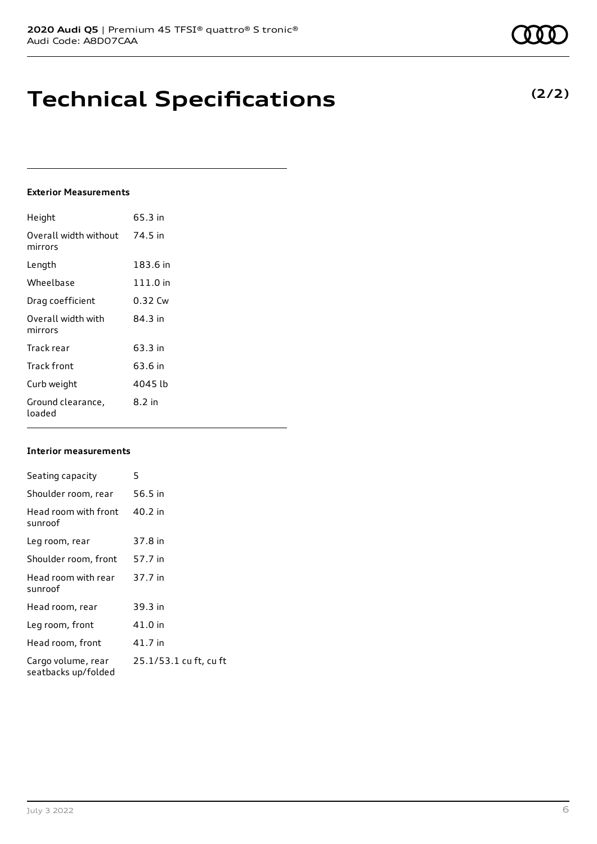# **Technical Specifications**

## **Exterior Measurements**

| Height                           | 65.3 in  |
|----------------------------------|----------|
| Overall width without<br>mirrors | 74.5 in  |
| Length                           | 183.6 in |
| Wheelbase                        | 111.0 in |
| Drag coefficient                 | 0.32 Cw  |
| Overall width with<br>mirrors    | 84 3 in  |
| Track rear                       | 63.3 in  |
| Track front                      | 63.6 in  |
| Curb weight                      | 4045 lb  |
| Ground clearance,<br>loaded      | 8.2 in   |

## **Interior measurements**

| Seating capacity                          | 5                      |
|-------------------------------------------|------------------------|
| Shoulder room, rear                       | 56.5 in                |
| Head room with front<br>sunroof           | 40.2 in                |
| Leg room, rear                            | 37.8 in                |
| Shoulder room, front                      | 57.7 in                |
| Head room with rear<br>sunroof            | 37.7 in                |
| Head room, rear                           | 39.3 in                |
| Leg room, front                           | 41.0 in                |
| Head room, front                          | 41.7 in                |
| Cargo volume, rear<br>seatbacks up/folded | 25.1/53.1 cu ft, cu ft |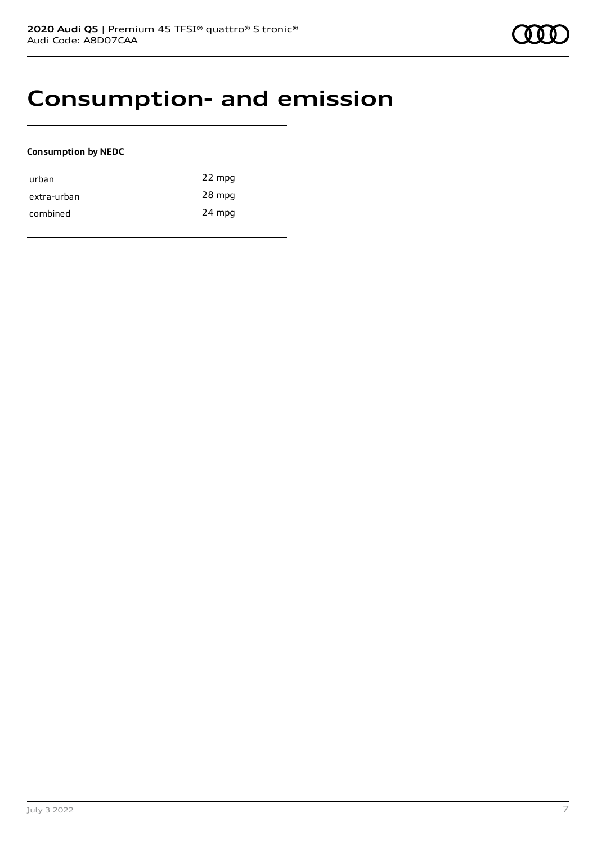## **Consumption- and emission**

## **Consumption by NEDC**

| urban       | 22 mpg |
|-------------|--------|
| extra-urban | 28 mpg |
| combined    | 24 mpg |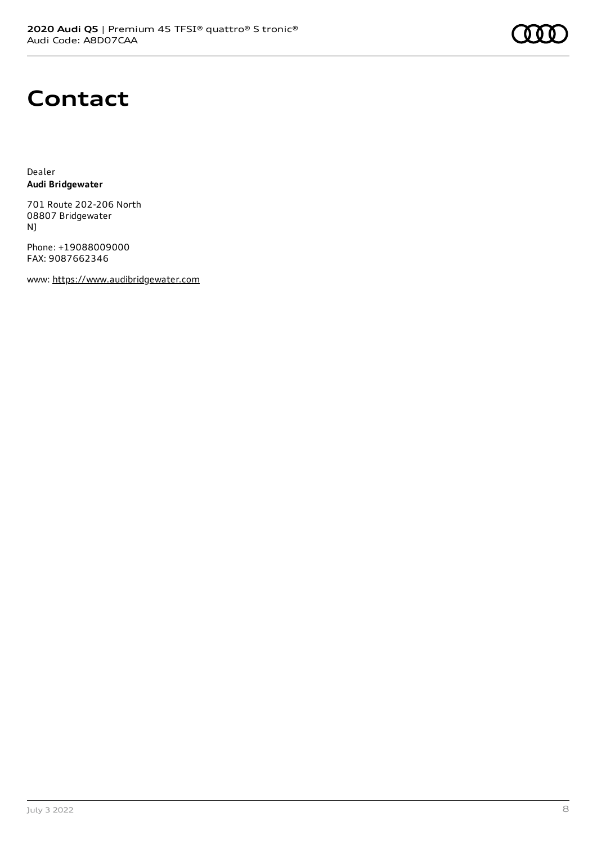

# **Contact**

Dealer **Audi Bridgewater**

701 Route 202-206 North 08807 Bridgewater NJ

Phone: +19088009000 FAX: 9087662346

www: [https://www.audibridgewater.com](https://www.audibridgewater.com/)